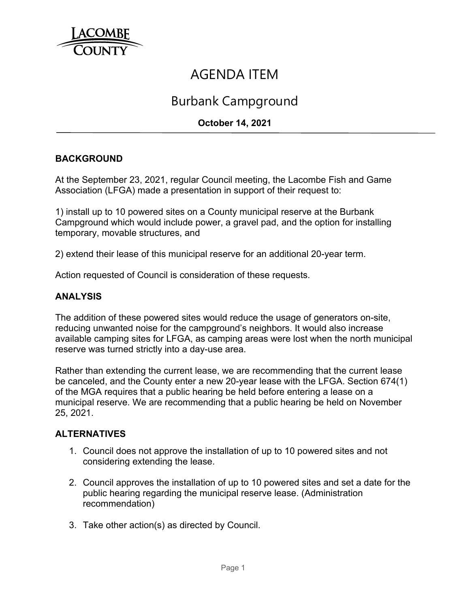

# AGENDA ITEM

## Burbank Campground

## **October 14, 2021**

### **BACKGROUND**

At the September 23, 2021, regular Council meeting, the Lacombe Fish and Game Association (LFGA) made a presentation in support of their request to:

1) install up to 10 powered sites on a County municipal reserve at the Burbank Campground which would include power, a gravel pad, and the option for installing temporary, movable structures, and

2) extend their lease of this municipal reserve for an additional 20-year term.

Action requested of Council is consideration of these requests.

#### **ANALYSIS**

The addition of these powered sites would reduce the usage of generators on-site, reducing unwanted noise for the campground's neighbors. It would also increase available camping sites for LFGA, as camping areas were lost when the north municipal reserve was turned strictly into a day-use area.

Rather than extending the current lease, we are recommending that the current lease be canceled, and the County enter a new 20-year lease with the LFGA. Section 674(1) of the MGA requires that a public hearing be held before entering a lease on a municipal reserve. We are recommending that a public hearing be held on November 25, 2021.

#### **ALTERNATIVES**

- 1. Council does not approve the installation of up to 10 powered sites and not considering extending the lease.
- 2. Council approves the installation of up to 10 powered sites and set a date for the public hearing regarding the municipal reserve lease. (Administration recommendation)
- 3. Take other action(s) as directed by Council.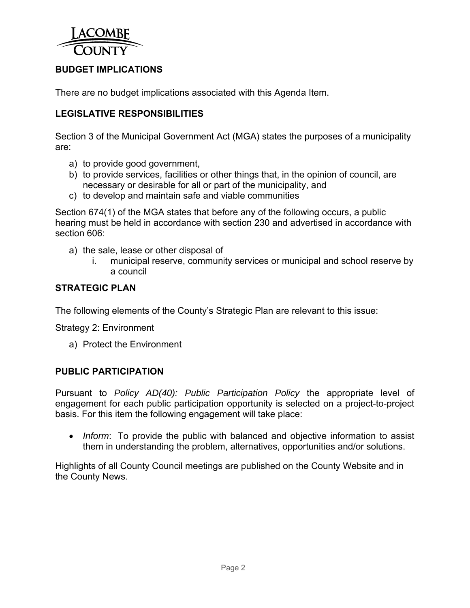

## **BUDGET IMPLICATIONS**

There are no budget implications associated with this Agenda Item.

## **LEGISLATIVE RESPONSIBILITIES**

Section 3 of the Municipal Government Act (MGA) states the purposes of a municipality are:

- a) to provide good government,
- b) to provide services, facilities or other things that, in the opinion of council, are necessary or desirable for all or part of the municipality, and
- c) to develop and maintain safe and viable communities

Section 674(1) of the MGA states that before any of the following occurs, a public hearing must be held in accordance with section 230 and advertised in accordance with section 606:

- a) the sale, lease or other disposal of
	- i. municipal reserve, community services or municipal and school reserve by a council

### **STRATEGIC PLAN**

The following elements of the County's Strategic Plan are relevant to this issue:

Strategy 2: Environment

a) Protect the Environment

## **PUBLIC PARTICIPATION**

Pursuant to *Policy AD(40): Public Participation Policy* the appropriate level of engagement for each public participation opportunity is selected on a project-to-project basis. For this item the following engagement will take place:

 *Inform*: To provide the public with balanced and objective information to assist them in understanding the problem, alternatives, opportunities and/or solutions.

Highlights of all County Council meetings are published on the County Website and in the County News.